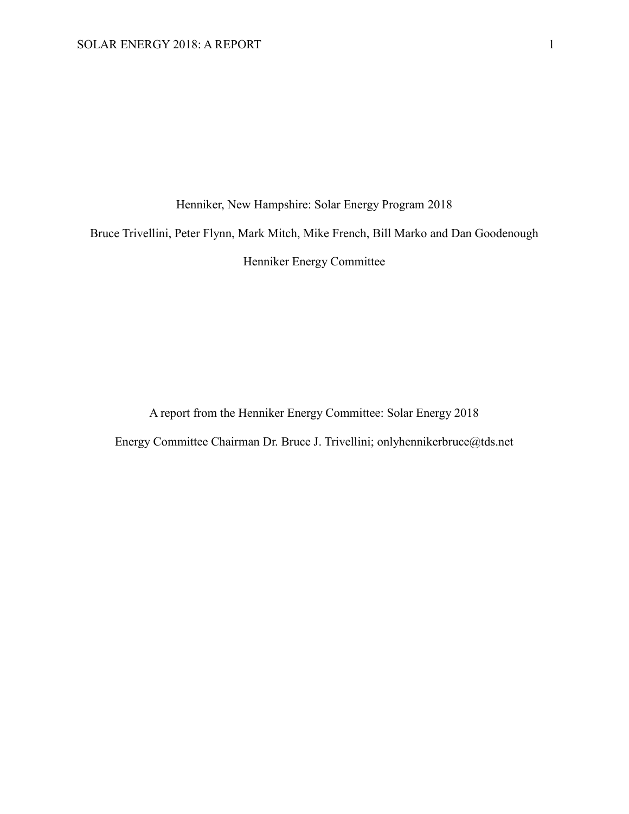Henniker, New Hampshire: Solar Energy Program 2018

Bruce Trivellini, Peter Flynn, Mark Mitch, Mike French, Bill Marko and Dan Goodenough

Henniker Energy Committee

A report from the Henniker Energy Committee: Solar Energy 2018 Energy Committee Chairman Dr. Bruce J. Trivellini; onlyhennikerbruce@tds.net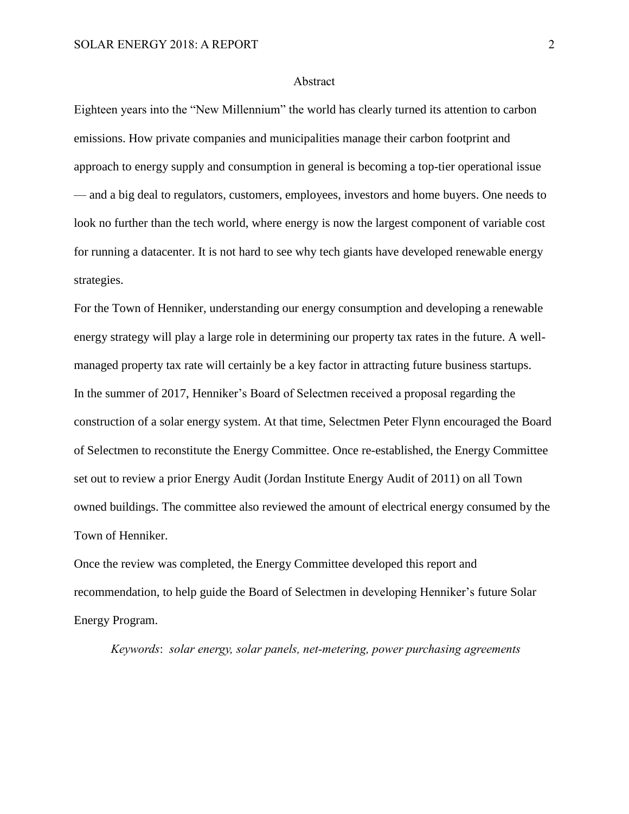#### Abstract

Eighteen years into the "New Millennium" the world has clearly turned its attention to carbon emissions. How private companies and municipalities manage their carbon footprint and approach to energy supply and consumption in general is becoming a top-tier operational issue — and a big deal to regulators, customers, employees, investors and home buyers. One needs to look no further than the tech world, where energy is now the largest component of variable cost for running a datacenter. It is not hard to see why tech giants have developed renewable energy strategies.

For the Town of Henniker, understanding our energy consumption and developing a renewable energy strategy will play a large role in determining our property tax rates in the future. A wellmanaged property tax rate will certainly be a key factor in attracting future business startups. In the summer of 2017, Henniker's Board of Selectmen received a proposal regarding the construction of a solar energy system. At that time, Selectmen Peter Flynn encouraged the Board of Selectmen to reconstitute the Energy Committee. Once re-established, the Energy Committee set out to review a prior Energy Audit (Jordan Institute Energy Audit of 2011) on all Town owned buildings. The committee also reviewed the amount of electrical energy consumed by the Town of Henniker.

Once the review was completed, the Energy Committee developed this report and recommendation, to help guide the Board of Selectmen in developing Henniker's future Solar Energy Program.

*Keywords*: *solar energy, solar panels, net-metering, power purchasing agreements*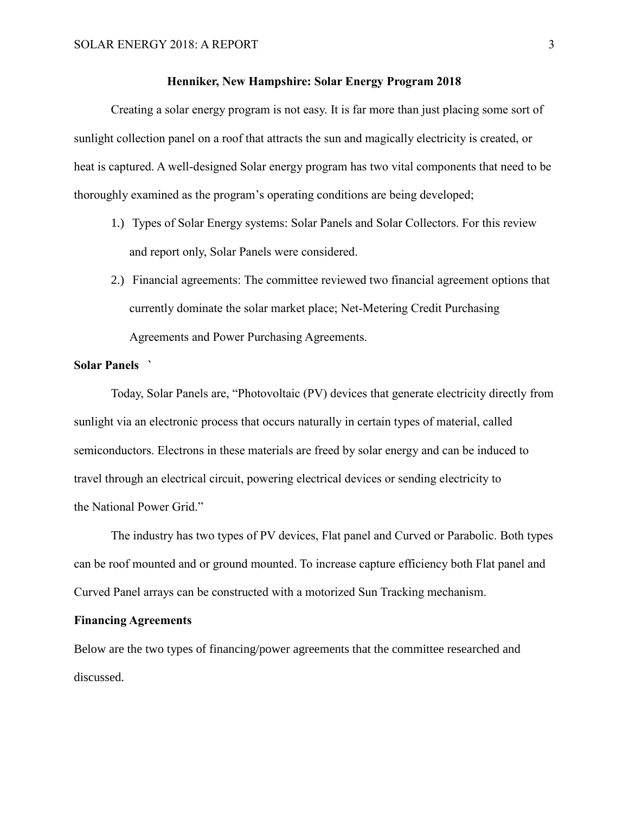### **Henniker, New Hampshire: Solar Energy Program 2018**

Creating a solar energy program is not easy. It is far more than just placing some sort of sunlight collection panel on a roof that attracts the sun and magically electricity is created, or heat is captured. A well-designed Solar energy program has two vital components that need to be thoroughly examined as the program's operating conditions are being developed;

- 1.) Types of Solar Energy systems: Solar Panels and Solar Collectors. For this review and report only, Solar Panels were considered.
- 2.) Financial agreements: The committee reviewed two financial agreement options that currently dominate the solar market place; Net-Metering Credit Purchasing Agreements and Power Purchasing Agreements.

# **Solar Panels `**

Today, Solar Panels are, "Photovoltaic (PV) devices that generate electricity directly from sunlight via an electronic process that occurs naturally in certain types of material, called semiconductors. Electrons in these materials are freed by solar energy and can be induced to travel through an electrical circuit, powering electrical devices or sending electricity to the National Power Grid."

The industry has two types of PV devices, Flat panel and Curved or Parabolic. Both types can be roof mounted and or ground mounted. To increase capture efficiency both Flat panel and Curved Panel arrays can be constructed with a motorized Sun Tracking mechanism.

## **Financing Agreements**

Below are the two types of financing/power agreements that the committee researched and discussed.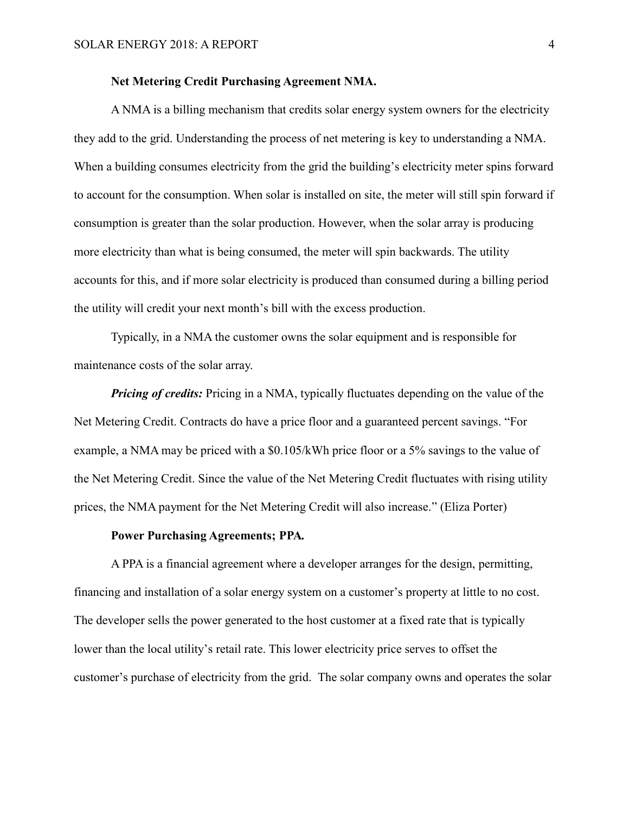## **Net Metering Credit Purchasing Agreement NMA.**

A NMA is a billing mechanism that credits solar energy system owners for the electricity they add to the grid. Understanding the process of net metering is key to understanding a NMA. When a building consumes electricity from the grid the building's electricity meter spins forward to account for the consumption. When solar is installed on site, the meter will still spin forward if consumption is greater than the solar production. However, when the solar array is producing more electricity than what is being consumed, the meter will spin backwards. The utility accounts for this, and if more solar electricity is produced than consumed during a billing period the utility will credit your next month's bill with the excess production.

Typically, in a NMA the customer owns the solar equipment and is responsible for maintenance costs of the solar array.

*Pricing of credits:* Pricing in a NMA, typically fluctuates depending on the value of the Net Metering Credit. Contracts do have a price floor and a guaranteed percent savings. "For example, a NMA may be priced with a \$0.105/kWh price floor or a 5% savings to the value of the Net Metering Credit. Since the value of the Net Metering Credit fluctuates with rising utility prices, the NMA payment for the Net Metering Credit will also increase." (Eliza Porter)

#### **Power Purchasing Agreements; PPA***.*

A PPA is a financial agreement where a developer arranges for the design, permitting, financing and installation of a solar energy system on a customer's property at little to no cost. The developer sells the power generated to the host customer at a fixed rate that is typically lower than the local utility's retail rate. This lower electricity price serves to offset the customer's purchase of electricity from the grid. The solar company owns and operates the solar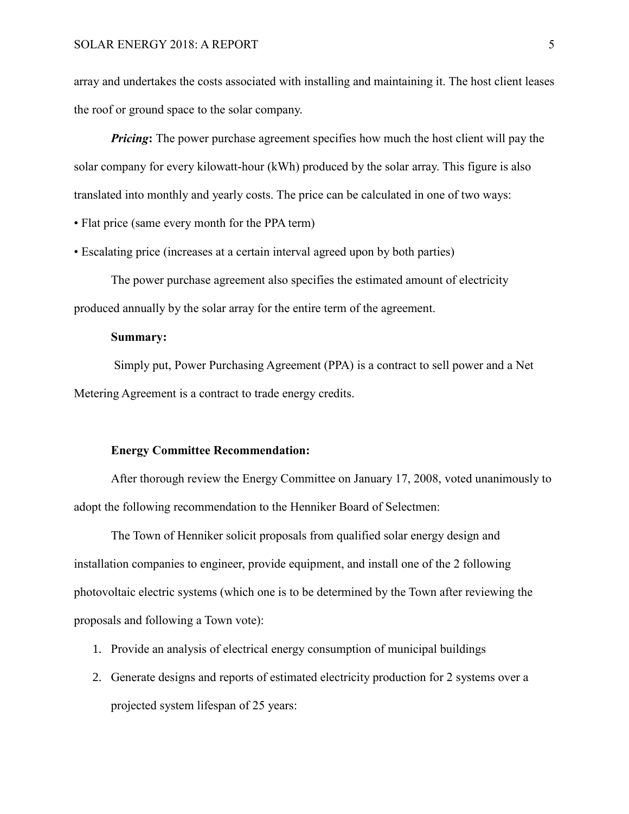array and undertakes the costs associated with installing and maintaining it. The host client leases the roof or ground space to the solar company.

*Pricing*: The power purchase agreement specifies how much the host client will pay the solar company for every kilowatt-hour (kWh) produced by the solar array. This figure is also translated into monthly and yearly costs. The price can be calculated in one of two ways:

- Flat price (same every month for the PPA term)
- Escalating price (increases at a certain interval agreed upon by both parties)

The power purchase agreement also specifies the estimated amount of electricity produced annually by the solar array for the entire term of the agreement.

## **Summary:**

Simply put, Power Purchasing Agreement (PPA) is a contract to sell power and a Net Metering Agreement is a contract to trade energy credits.

## **Energy Committee Recommendation:**

After thorough review the Energy Committee on January 17, 2008, voted unanimously to adopt the following recommendation to the Henniker Board of Selectmen:

The Town of Henniker solicit proposals from qualified solar energy design and installation companies to engineer, provide equipment, and install one of the 2 following photovoltaic electric systems (which one is to be determined by the Town after reviewing the proposals and following a Town vote):

- 1. Provide an analysis of electrical energy consumption of municipal buildings
- 2. Generate designs and reports of estimated electricity production for 2 systems over a projected system lifespan of 25 years: